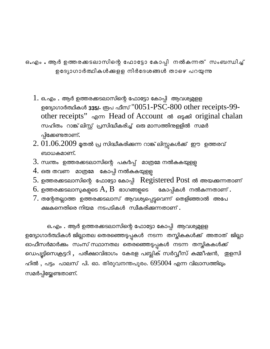ഒ.എം . ആർ ഉത്തരക്കടലാസിന്റെ ഫോട്ടോ കോപ്പി നൽകന്നത് സംബന്ധിച്ച് ഉദ്യോഗാർത്ഥികൾക്കളള നിർദേശങ്ങൾ താഴെ പറയുന്നു

- $1. \;$ ഒ.എം . ആർ ഉത്തരക്കടലാസിന്റെ ഫോട്ടോ കോപ്പി ആവശ്യമുളള ഉദ്യോഗാർത്ഥികൾ **335/-** രൂപ ഫീസ് '' $0051\text{-} \text{PSC-}800\text{ other receipts}\text{-}99\text{-}$ other receipts" എന്ന Head of Account ൽ ഒടുക്കി original chalan സഹിതം റാങ്ക് ലിസ്റ്റ് പ്രസിദ്ധീകരിച്ച് ഒരു മാസത്തിന്മളളിൽ സമർ പ്പിക്കേണ്ടതാണ്.
- $2.\,01.06.2009$  മുതൽ പ്ര സിദ്ധീകരിക്കുന്ന റാങ്ക് ലിസ്റ്റുകൾക്ക് ഈ ഉത്തരവ് ബാധകമാണ്.
- $3.$  സ്വന്തം ഉത്തരക്കടലാസിന്റെ പകർപ്പ് മാത്രമേ നൽകുകയുളള
- $4.$  ഒരു തവണ മാത്രമേ കോപ്പി നൽകുകയുളള
- 5. ഉതരകടലാസിെന ോഫാോടാ ോകാപി Registered Post ല അയകനതാണ്
- $6.$  ഉത്തരക്കടലാസുകളുടെ  $\rm A, \, B$  ഭാഗങ്ങളുടെ കോപ്പികൾ നൽകന്നതാണ് .
- $7.$  തന്റേതല്ലാത്ത ഉത്തരക്കടലാസ് ആവശ്യപ്പെട്ടവെന്ന് തെളിഞ്ഞാൽ അപേ ക്ഷകനെതിരെ നിയമ നടപടികൾ സ്വീകരിക്കന്നതാണ് **.**

ഒ.എം . ആർ ഉത്തരക്കടലാസിന്റെ ഫോട്ടോ കോപ്പി ആവശ്യമുളള ഉദ്യോഗാർത്ഥികൾ ജില്ലാതല തെരഞ്ഞെടുപ്പുകൾ നടന്ന തസ്തികകൾക്ക് അതാത് ജില്ലാ ഓഫീസർമാർക്കം സംസ് സ്ഥാനതല തെരഞ്ഞെടുപ്പുകൾ നടന്ന തസ്തികകൾക്ക് ഡെപ്യൂട്ടിസെക്രട്ടറി , പരീക്ഷാവിഭാഗം കേരള പബ്ലിക് സർവ്വീസ് കമ്മീഷൻ, ഇളസി ഹിൽ , പട്ടം പാലസ് പി. ഓ. തിരുവനന്തപുരം.  $695004$  എന്ന വിലാസത്തിലും സമർപ്പിയ്ക്കേണ്ടതാണ്.